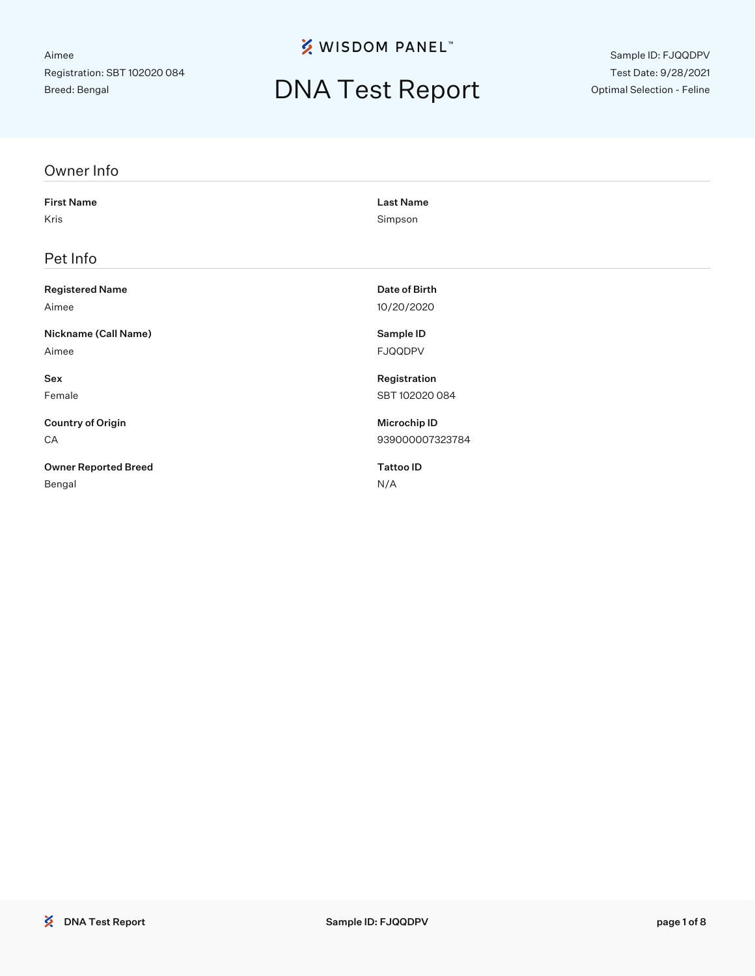**※ WISDOM PANEL**™

### DNA Test Report

Sample ID: FJQQDPV Test Date: 9/28/2021 Optimal Selection - Feline

| Owner Info                  |                     |
|-----------------------------|---------------------|
| <b>First Name</b>           | <b>Last Name</b>    |
| Kris                        | Simpson             |
| Pet Info                    |                     |
| <b>Registered Name</b>      | Date of Birth       |
| Aimee                       | 10/20/2020          |
| Nickname (Call Name)        | Sample ID           |
| Aimee                       | <b>FJQQDPV</b>      |
| Sex                         | Registration        |
| Female                      | SBT 102020 084      |
| <b>Country of Origin</b>    | <b>Microchip ID</b> |
| CA                          | 939000007323784     |
| <b>Owner Reported Breed</b> | <b>Tattoo ID</b>    |
| Bengal                      | N/A                 |
|                             |                     |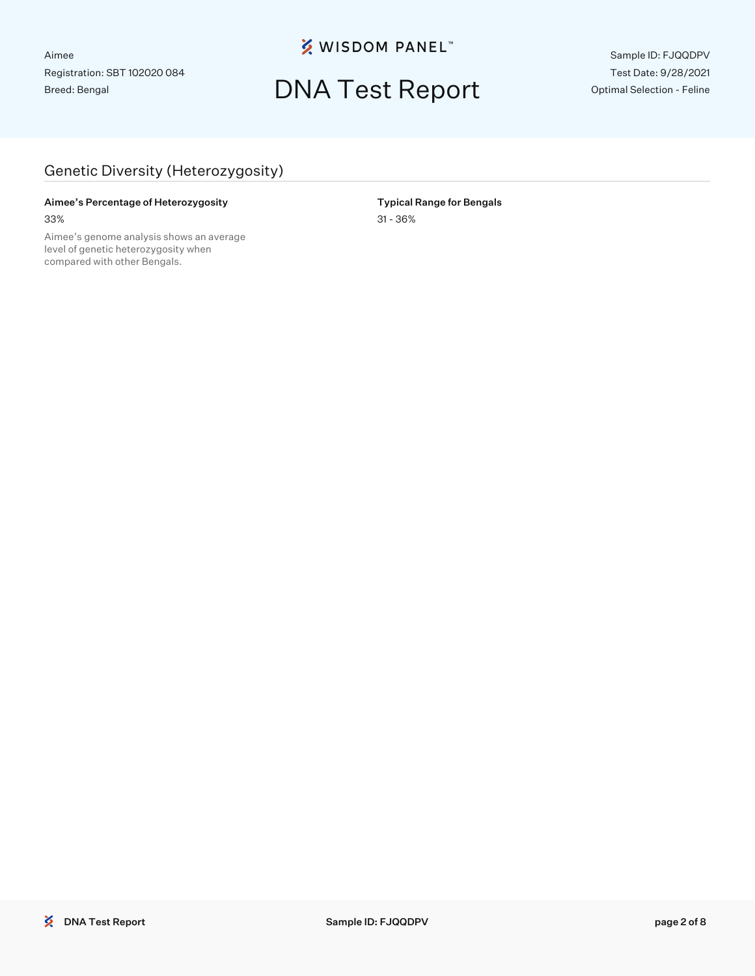**※ WISDOM PANEL**™

### DNA Test Report

Sample ID: FJQQDPV Test Date: 9/28/2021 Optimal Selection - Feline

#### Genetic Diversity (Heterozygosity)

#### Aimee's Percentage of Heterozygosity **National Range for Bengals** Typical Range for Bengals

Aimee's genome analysis shows an average level of genetic heterozygosity when compared with other Bengals.

33% 31 - 36%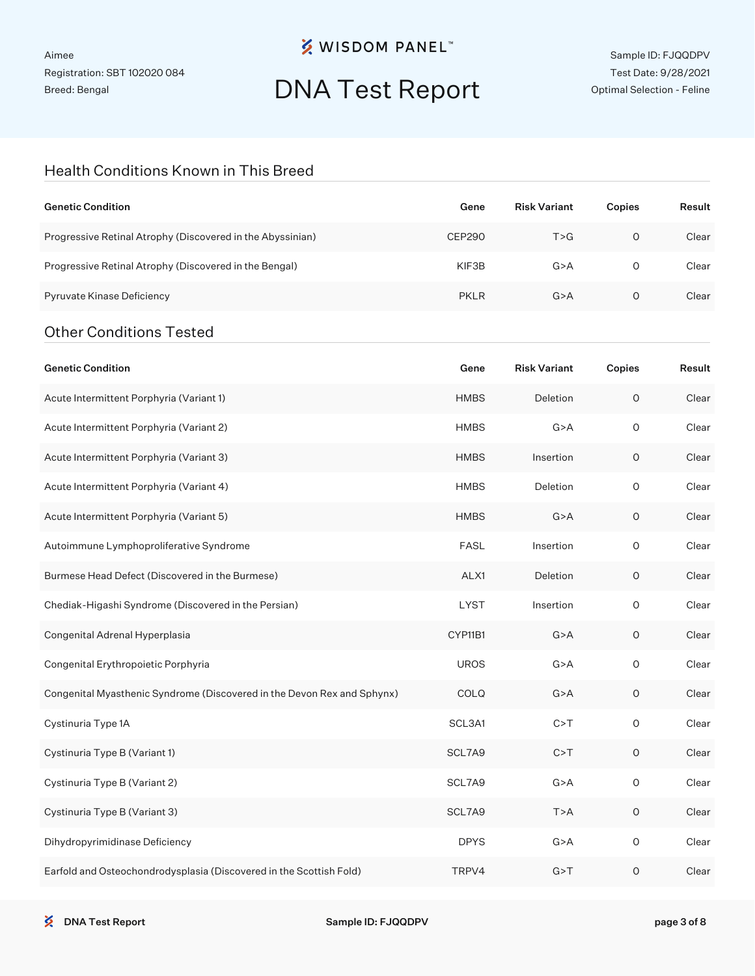### **※ WISDOM PANEL**™

# DNA Test Report

Sample ID: FJQQDPV Test Date: 9/28/2021 Optimal Selection - Feline

#### Health Conditions Known in This Breed

| <b>Genetic Condition</b>                                                | Gene          | <b>Risk Variant</b> | Copies              | Result |
|-------------------------------------------------------------------------|---------------|---------------------|---------------------|--------|
| Progressive Retinal Atrophy (Discovered in the Abyssinian)              | <b>CEP290</b> | T > G               | $\circ$             | Clear  |
| Progressive Retinal Atrophy (Discovered in the Bengal)                  | KIF3B         | G > A               | $\circ$             | Clear  |
| Pyruvate Kinase Deficiency                                              | <b>PKLR</b>   | G > A               | 0                   | Clear  |
| <b>Other Conditions Tested</b>                                          |               |                     |                     |        |
| <b>Genetic Condition</b>                                                | Gene          | <b>Risk Variant</b> | Copies              | Result |
| Acute Intermittent Porphyria (Variant 1)                                | <b>HMBS</b>   | Deletion            | $\mathsf O$         | Clear  |
| Acute Intermittent Porphyria (Variant 2)                                | <b>HMBS</b>   | G > A               | O                   | Clear  |
| Acute Intermittent Porphyria (Variant 3)                                | <b>HMBS</b>   | Insertion           | O                   | Clear  |
| Acute Intermittent Porphyria (Variant 4)                                | <b>HMBS</b>   | Deletion            | O                   | Clear  |
| Acute Intermittent Porphyria (Variant 5)                                | <b>HMBS</b>   | G > A               | O                   | Clear  |
| Autoimmune Lymphoproliferative Syndrome                                 | <b>FASL</b>   | Insertion           | 0                   | Clear  |
| Burmese Head Defect (Discovered in the Burmese)                         | ALX1          | Deletion            | O                   | Clear  |
| Chediak-Higashi Syndrome (Discovered in the Persian)                    | <b>LYST</b>   | Insertion           | O                   | Clear  |
| Congenital Adrenal Hyperplasia                                          | CYP11B1       | G > A               | O                   | Clear  |
| Congenital Erythropoietic Porphyria                                     | <b>UROS</b>   | G > A               | 0                   | Clear  |
| Congenital Myasthenic Syndrome (Discovered in the Devon Rex and Sphynx) | COLQ          | G > A               | O                   | Clear  |
| Cystinuria Type 1A                                                      | SCL3A1        | C > T               | 0                   | Clear  |
| Cystinuria Type B (Variant 1)                                           | SCL7A9        | C > T               | 0                   | Clear  |
| Cystinuria Type B (Variant 2)                                           | SCL7A9        | G > A               | 0                   | Clear  |
| Cystinuria Type B (Variant 3)                                           | SCL7A9        | T>A                 | $\mathsf O$         | Clear  |
| Dihydropyrimidinase Deficiency                                          | <b>DPYS</b>   | G > A               | $\mathsf{O}\xspace$ | Clear  |
| Earfold and Osteochondrodysplasia (Discovered in the Scottish Fold)     | TRPV4         | G > T               | $\mathsf O$         | Clear  |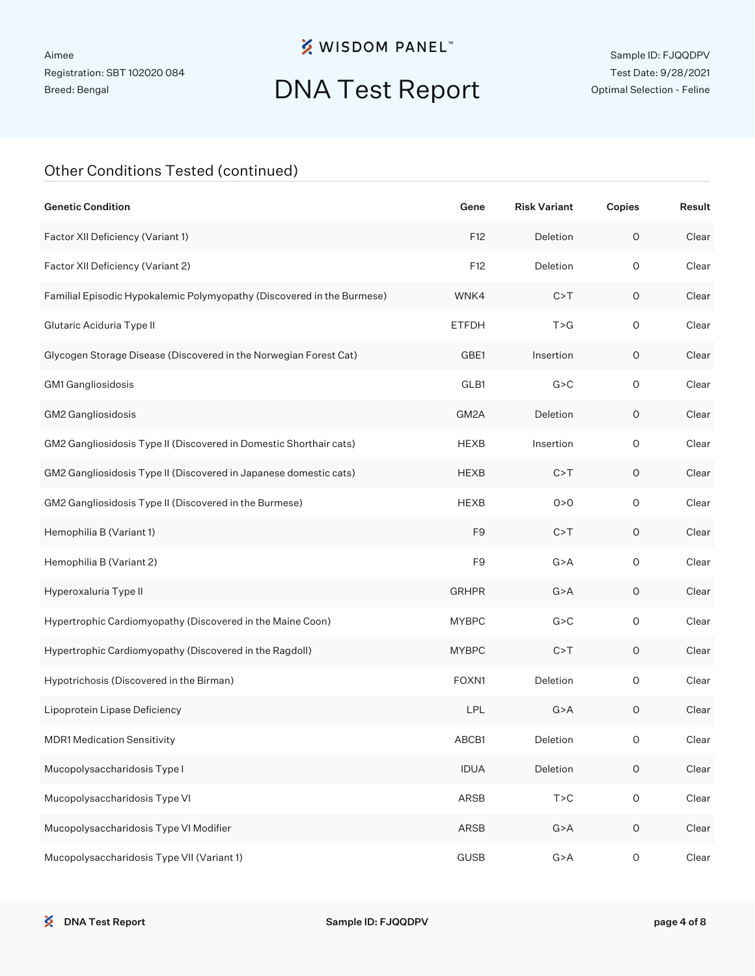### **※ WISDOM PANEL**™

# DNA Test Report

Sample ID: FJQQDPV Test Date: 9/28/2021 Optimal Selection - Feline

#### Other Conditions Tested (continued)

| <b>Genetic Condition</b>                                               | Gene           | <b>Risk Variant</b> | Copies              | Result |
|------------------------------------------------------------------------|----------------|---------------------|---------------------|--------|
| Factor XII Deficiency (Variant 1)                                      | F12            | Deletion            | $\mathsf O$         | Clear  |
| Factor XII Deficiency (Variant 2)                                      | F12            | Deletion            | $\circ$             | Clear  |
| Familial Episodic Hypokalemic Polymyopathy (Discovered in the Burmese) | WNK4           | C > T               | $\mathsf O$         | Clear  |
| Glutaric Aciduria Type II                                              | <b>ETFDH</b>   | T > G               | $\circ$             | Clear  |
| Glycogen Storage Disease (Discovered in the Norwegian Forest Cat)      | GBE1           | Insertion           | 0                   | Clear  |
| GM1 Gangliosidosis                                                     | GLB1           | G > C               | $\circ$             | Clear  |
| GM2 Gangliosidosis                                                     | GM2A           | Deletion            | $\mathsf O$         | Clear  |
| GM2 Gangliosidosis Type II (Discovered in Domestic Shorthair cats)     | <b>HEXB</b>    | Insertion           | $\mathsf O$         | Clear  |
| GM2 Gangliosidosis Type II (Discovered in Japanese domestic cats)      | <b>HEXB</b>    | C > T               | $\mathsf O$         | Clear  |
| GM2 Gangliosidosis Type II (Discovered in the Burmese)                 | <b>HEXB</b>    | 0 > 0               | $\circ$             | Clear  |
| Hemophilia B (Variant 1)                                               | F <sub>9</sub> | C > T               | $\mathsf O$         | Clear  |
| Hemophilia B (Variant 2)                                               | F <sub>9</sub> | G > A               | $\mathsf O$         | Clear  |
| Hyperoxaluria Type II                                                  | <b>GRHPR</b>   | G > A               | $\mathsf O$         | Clear  |
| Hypertrophic Cardiomyopathy (Discovered in the Maine Coon)             | <b>MYBPC</b>   | G > C               | $\mathsf O$         | Clear  |
| Hypertrophic Cardiomyopathy (Discovered in the Ragdoll)                | <b>MYBPC</b>   | C > T               | $\mathsf O$         | Clear  |
| Hypotrichosis (Discovered in the Birman)                               | FOXN1          | Deletion            | $\circ$             | Clear  |
| Lipoprotein Lipase Deficiency                                          | <b>LPL</b>     | G > A               | $\mathsf O$         | Clear  |
| <b>MDR1 Medication Sensitivity</b>                                     | ABCB1          | Deletion            | 0                   | Clear  |
| Mucopolysaccharidosis Type I                                           | <b>IDUA</b>    | Deletion            | $\mathsf O$         | Clear  |
| Mucopolysaccharidosis Type VI                                          | ARSB           | T > C               | $\mathsf{O}\xspace$ | Clear  |
| Mucopolysaccharidosis Type VI Modifier                                 | ARSB           | G > A               | $\mathsf O$         | Clear  |
| Mucopolysaccharidosis Type VII (Variant 1)                             | <b>GUSB</b>    | G > A               | $\mathsf O$         | Clear  |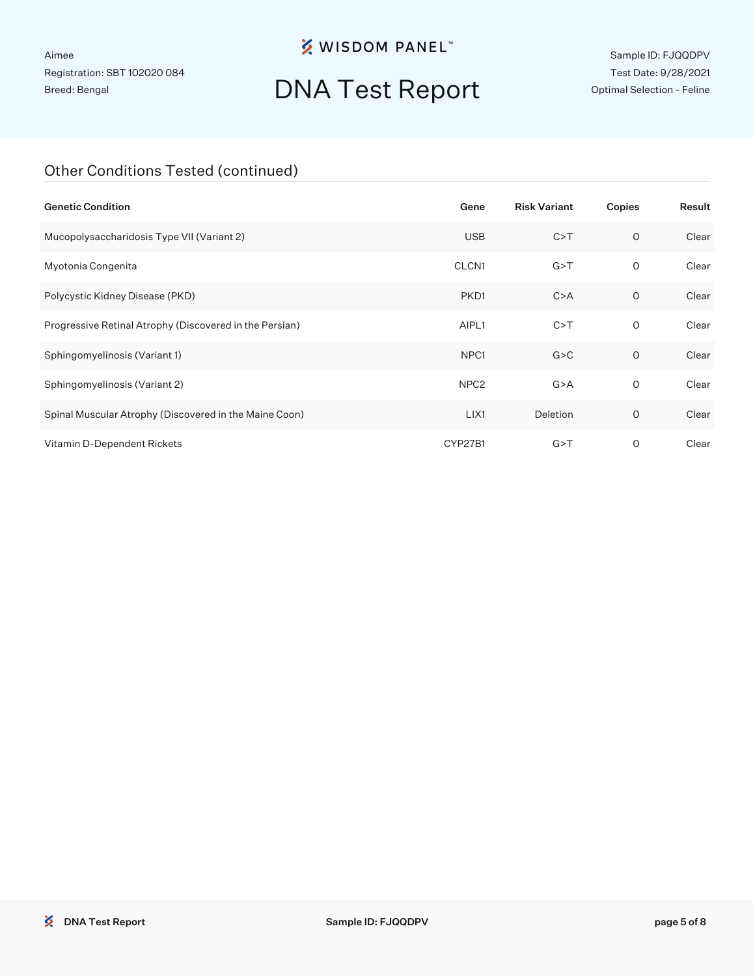### **※ WISDOM PANEL**™

# DNA Test Report

Sample ID: FJQQDPV Test Date: 9/28/2021 Optimal Selection - Feline

#### Other Conditions Tested (continued)

| <b>Genetic Condition</b>                                | Gene             | <b>Risk Variant</b> | Copies       | Result |
|---------------------------------------------------------|------------------|---------------------|--------------|--------|
| Mucopolysaccharidosis Type VII (Variant 2)              | <b>USB</b>       | C > T               | $\circ$      | Clear  |
| Myotonia Congenita                                      | CLCN1            | G > T               | 0            | Clear  |
| Polycystic Kidney Disease (PKD)                         | PKD1             | C > A               | 0            | Clear  |
| Progressive Retinal Atrophy (Discovered in the Persian) | AIPL1            | C > T               | $\mathsf{O}$ | Clear  |
| Sphingomyelinosis (Variant 1)                           | NPC <sub>1</sub> | G > C               | $\circ$      | Clear  |
| Sphingomyelinosis (Variant 2)                           | NPC <sub>2</sub> | G > A               | 0            | Clear  |
| Spinal Muscular Atrophy (Discovered in the Maine Coon)  | LIX1             | Deletion            | O            | Clear  |
| Vitamin D-Dependent Rickets                             | CYP27B1          | G > T               | O            | Clear  |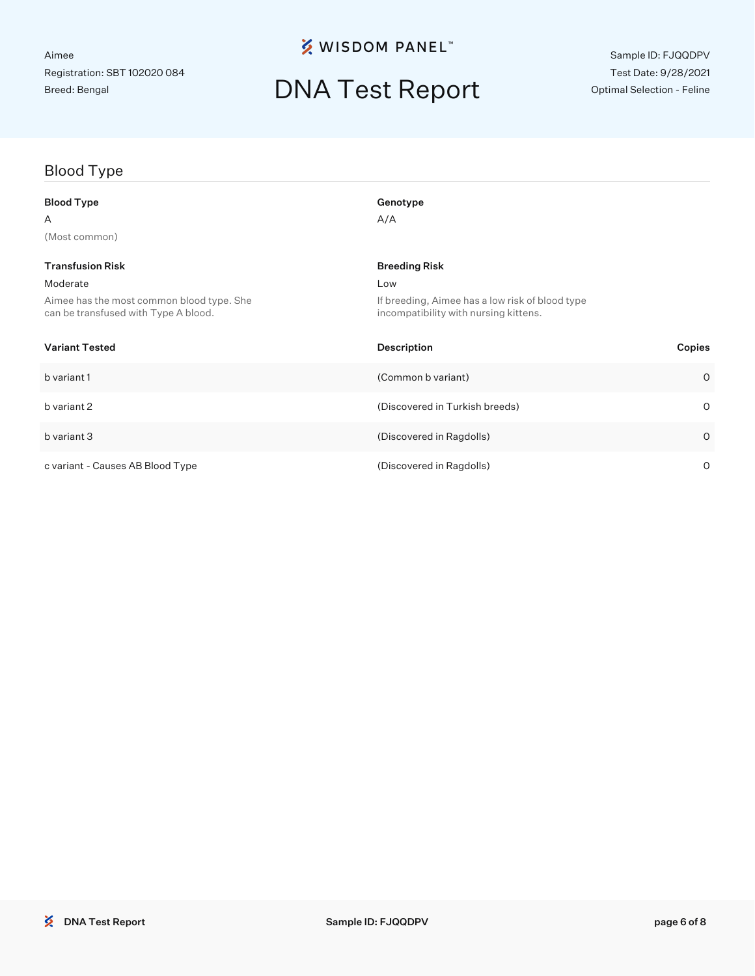**※ WISDOM PANEL**™

### DNA Test Report

### Blood Type Blood Type Genotype Genotype

| Α                                                                                 | A/A                                                                                      |         |
|-----------------------------------------------------------------------------------|------------------------------------------------------------------------------------------|---------|
| (Most common)                                                                     |                                                                                          |         |
| <b>Transfusion Risk</b>                                                           | <b>Breeding Risk</b>                                                                     |         |
| Moderate                                                                          | Low                                                                                      |         |
| Aimee has the most common blood type. She<br>can be transfused with Type A blood. | If breeding, Aimee has a low risk of blood type<br>incompatibility with nursing kittens. |         |
| <b>Variant Tested</b>                                                             | <b>Description</b><br>Copies                                                             |         |
| b variant 1                                                                       | (Common b variant)                                                                       | $\circ$ |
| b variant 2                                                                       | (Discovered in Turkish breeds)                                                           | $\circ$ |
| b variant 3                                                                       | (Discovered in Ragdolls)                                                                 | $\circ$ |
| c variant - Causes AB Blood Type                                                  | (Discovered in Ragdolls)                                                                 | $\circ$ |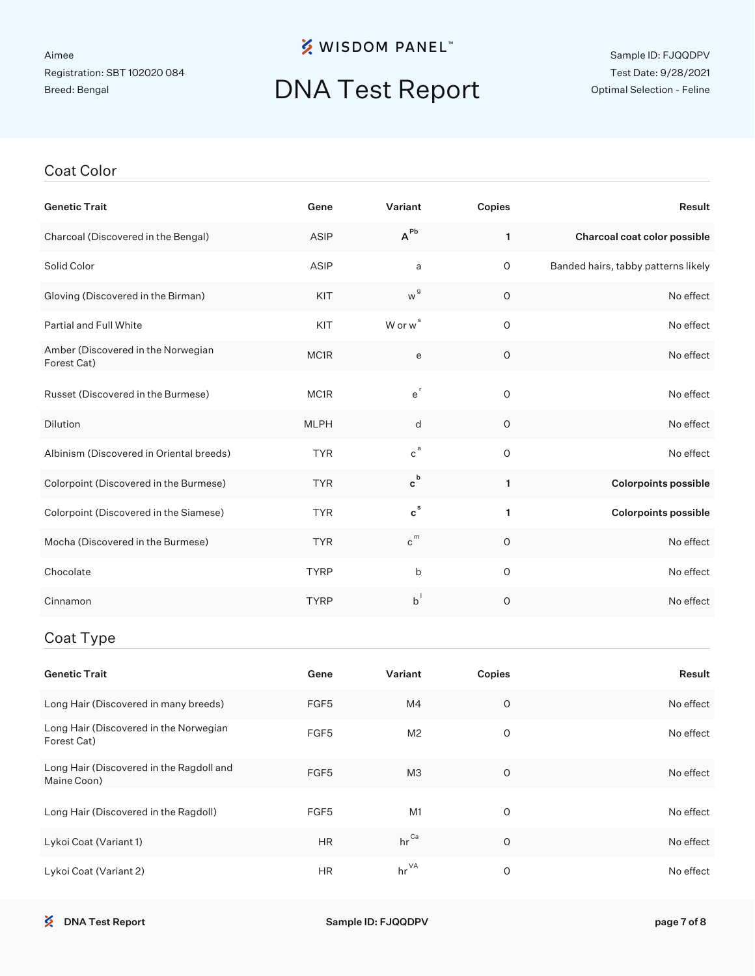### **※ WISDOM PANEL**™

### DNA Test Report

#### Sample ID: FJQQDPV Test Date: 9/28/2021 Optimal Selection - Feline

#### Coat Color

| <b>Genetic Trait</b>                                    | Gene        | Variant                   | Copies         | Result                              |
|---------------------------------------------------------|-------------|---------------------------|----------------|-------------------------------------|
| Charcoal (Discovered in the Bengal)                     | ASIP        | $A^{Pb}$                  | $\mathbf{1}$   | Charcoal coat color possible        |
| Solid Color                                             | ASIP        | a                         | $\mathsf O$    | Banded hairs, tabby patterns likely |
| Gloving (Discovered in the Birman)                      | KIT         | w <sup>g</sup>            | O              | No effect                           |
| Partial and Full White                                  | KIT         | W or w <sup>s</sup>       | $\overline{O}$ | No effect                           |
| Amber (Discovered in the Norwegian<br>Forest Cat)       | MC1R        | e                         | $\circ$        | No effect                           |
| Russet (Discovered in the Burmese)                      | MC1R        | $e^r$                     | $\mathsf O$    | No effect                           |
| Dilution                                                | <b>MLPH</b> | d                         | $\circ$        | No effect                           |
| Albinism (Discovered in Oriental breeds)                | <b>TYR</b>  | $c^{a}$                   | $\mathsf O$    | No effect                           |
| Colorpoint (Discovered in the Burmese)                  | <b>TYR</b>  | $\mathbf{c}^{\mathsf{b}}$ | 1.             | <b>Colorpoints possible</b>         |
| Colorpoint (Discovered in the Siamese)                  | <b>TYR</b>  | $\mathbf{c}^{\mathsf{s}}$ | 1              | <b>Colorpoints possible</b>         |
| Mocha (Discovered in the Burmese)                       | <b>TYR</b>  | $c^{m}$                   | O              | No effect                           |
| Chocolate                                               | <b>TYRP</b> | b                         | $\mathbf 0$    | No effect                           |
| Cinnamon                                                | <b>TYRP</b> | $b^{\dagger}$             | 0              | No effect                           |
| Coat Type                                               |             |                           |                |                                     |
| <b>Genetic Trait</b>                                    | Gene        | Variant                   | Copies         | Result                              |
| Long Hair (Discovered in many breeds)                   | FGF5        | M4                        | $\circ$        | No effect                           |
| Long Hair (Discovered in the Norwegian<br>Forest Cat)   | FGF5        | M <sub>2</sub>            | $\circ$        | No effect                           |
| Long Hair (Discovered in the Ragdoll and<br>Maine Coon) | FGF5        | MЗ                        | $\circ$        | No effect                           |
| Long Hair (Discovered in the Ragdoll)                   | FGF5        | M <sub>1</sub>            | $\mathsf O$    | No effect                           |

Lykoi Coat (Variant 1) **HR** hr Ca 0 No effect No effect